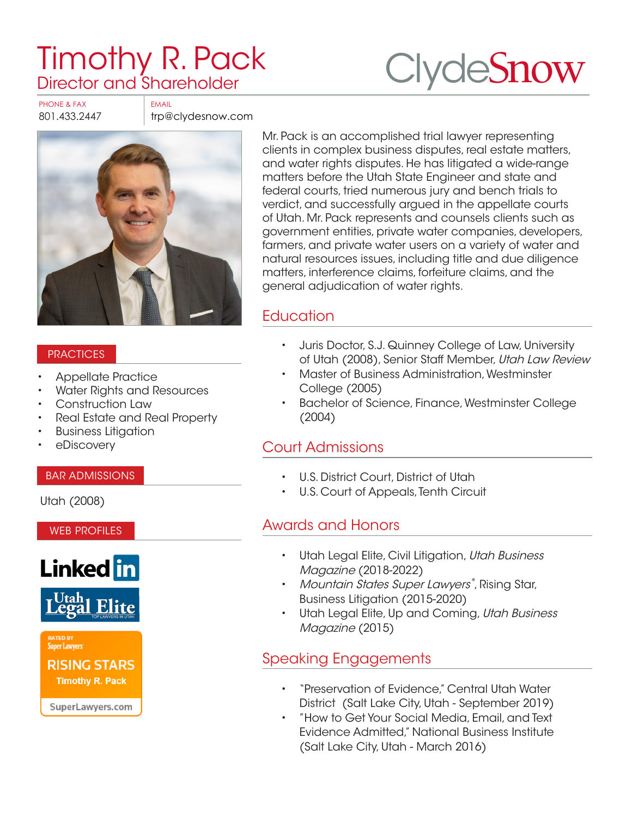# [Timothy R. Pack](https://www.clydesnow.com/attorneys/21-Timothy-R-Pack) Director and Shareholder



PHONE & FAX FAX

801.433.2447 trp@clydesnow.com



#### **PRACTICES**

- Appellate Practice
- Water Rights and Resources
- Construction Law
- Real Estate and Real Property
- Business Litigation
- eDiscovery

#### BAR ADMISSIONS

Utah (2008)

WEB PROFILES





**Super Lawyers** 

**RISING STARS Timothy R. Pack** 

SuperLawyers.com

Mr. Pack is an accomplished trial lawyer representing clients in complex business disputes, real estate matters, and water rights disputes. He has litigated a wide-range matters before the Utah State Engineer and state and federal courts, tried numerous jury and bench trials to verdict, and successfully argued in the appellate courts of Utah. Mr. Pack represents and counsels clients such as government entities, private water companies, developers, farmers, and private water users on a variety of water and natural resources issues, including title and due diligence matters, interference claims, forfeiture claims, and the general adjudication of water rights.

# **Education**

- Juris Doctor, S.J. Quinney College of Law, University of Utah (2008), Senior Staff Member, Utah Law Review
- Master of Business Administration, Westminster College (2005)
- Bachelor of Science, Finance, Westminster College (2004)

#### Court Admissions

- U.S. District Court, District of Utah
- U.S. Court of Appeals, Tenth Circuit

## Awards and Honors

- Utah Legal Elite, Civil Litigation, Utah Business Magazine (2018-2022)
- Mountain States Super Lawyers®, Rising Star, Business Litigation (2015-2020)
- Utah Legal Elite, Up and Coming, Utah Business Magazine (2015)

## Speaking Engagements

- "Preservation of Evidence," Central Utah Water District (Salt Lake City, Utah - September 2019)
- "How to Get Your Social Media, Email, and Text Evidence Admitted," National Business Institute (Salt Lake City, Utah - March 2016)